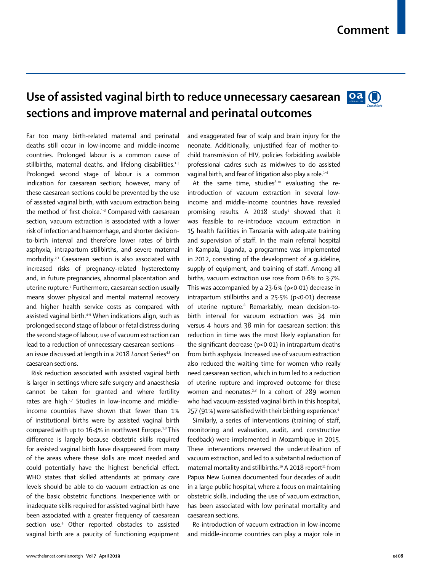## **Use of assisted vaginal birth to reduce unnecessary caesarean sections and improve maternal and perinatal outcomes**



Far too many birth-related maternal and perinatal deaths still occur in low-income and middle-income countries. Prolonged labour is a common cause of stillbirths, maternal deaths, and lifelong disabilities. $1-3$ Prolonged second stage of labour is a common indication for caesarean section; however, many of these caesarean sections could be prevented by the use of assisted vaginal birth, with vacuum extraction being the method of first choice.<sup>1-3</sup> Compared with caesarean section, vacuum extraction is associated with a lower risk of infection and haemorrhage, and shorter decisionto-birth interval and therefore lower rates of birth asphyxia, intrapartum stillbirths, and severe maternal morbidity.2,3 Caesarean section is also associated with increased risks of pregnancy-related hysterectomy and, in future pregnancies, abnormal placentation and uterine rupture.<sup>5</sup> Furthermore, caesarean section usually means slower physical and mental maternal recovery and higher health service costs as compared with assisted vaginal birth.<sup>4-6</sup> When indications align, such as prolonged second stage of labour or fetal distress during the second stage of labour, use of vacuum extraction can lead to a reduction of unnecessary caesarean sections an issue discussed at length in a 2018 Lancet Series<sup>4,5</sup> on caesarean sections.

Risk reduction associated with assisted vaginal birth is larger in settings where safe surgery and anaesthesia cannot be taken for granted and where fertility rates are high.<sup>2,7</sup> Studies in low-income and middleincome countries have shown that fewer than 1% of institutional births were by assisted vaginal birth compared with up to  $16.4%$  in northwest Europe.<sup>1,8</sup> This difference is largely because obstetric skills required for assisted vaginal birth have disappeared from many of the areas where these skills are most needed and could potentially have the highest beneficial effect. WHO states that skilled attendants at primary care levels should be able to do vacuum extraction as one of the basic obstetric functions. Inexperience with or inadequate skills required for assisted vaginal birth have been associated with a greater frequency of caesarean section use.4 Other reported obstacles to assisted vaginal birth are a paucity of functioning equipment and exaggerated fear of scalp and brain injury for the neonate. Additionally, unjustified fear of mother-tochild transmission of HIV, policies forbidding available professional cadres such as midwives to do assisted vaginal birth, and fear of litigation also play a role.<sup>1-4</sup>

At the same time, studies $8-10$  evaluating the reintroduction of vacuum extraction in several lowincome and middle-income countries have revealed promising results. A 2018 study<sup>9</sup> showed that it was feasible to re-introduce vacuum extraction in 15 health facilities in Tanzania with adequate training and supervision of staff. In the main referral hospital in Kampala, Uganda, a programme was implemented in 2012, consisting of the development of a guideline, supply of equipment, and training of staff. Among all births, vacuum extraction use rose from 0·6% to 3·7%. This was accompanied by a 23·6% (p<0·01) decrease in intrapartum stillbirths and a 25·5% (p<0·01) decrease of uterine rupture.<sup>8</sup> Remarkably, mean decision-tobirth interval for vacuum extraction was 34 min versus 4 hours and 38 min for caesarean section: this reduction in time was the most likely explanation for the significant decrease (p<0·01) in intrapartum deaths from birth asphyxia. Increased use of vacuum extraction also reduced the waiting time for women who really need caesarean section, which in turn led to a reduction of uterine rupture and improved outcome for these women and neonates. $2,8$  In a cohort of 289 women who had vacuum-assisted vaginal birth in this hospital, 257 (91%) were satisfied with their birthing experience.<sup>6</sup>

Similarly, a series of interventions (training of staff, monitoring and evaluation, audit, and constructive feedback) were implemented in Mozambique in 2015. These interventions reversed the underutilisation of vacuum extraction, and led to a substantial reduction of maternal mortality and stillbirths.<sup>10</sup> A 2018 report<sup>11</sup> from Papua New Guinea documented four decades of audit in a large public hospital, where a focus on maintaining obstetric skills, including the use of vacuum extraction, has been associated with low perinatal mortality and caesarean sections.

Re-introduction of vacuum extraction in low-income and middle-income countries can play a major role in